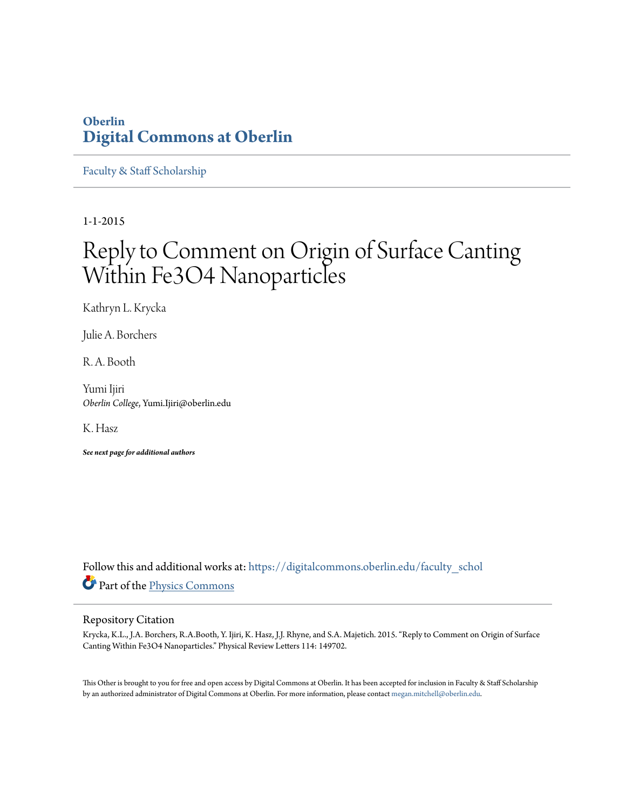## **Oberlin [Digital Commons at Oberlin](https://digitalcommons.oberlin.edu?utm_source=digitalcommons.oberlin.edu%2Ffaculty_schol%2F3306&utm_medium=PDF&utm_campaign=PDFCoverPages)**

[Faculty & Staff Scholarship](https://digitalcommons.oberlin.edu/faculty_schol?utm_source=digitalcommons.oberlin.edu%2Ffaculty_schol%2F3306&utm_medium=PDF&utm_campaign=PDFCoverPages)

1-1-2015

## Reply to Comment on Origin of Surface Canting Within Fe3O4 Nanoparticles

Kathryn L. Krycka

Julie A. Borchers

R. A. Booth

Yumi Ijiri *Oberlin College*, Yumi.Ijiri@oberlin.edu

K. Hasz

*See next page for additional authors*

Follow this and additional works at: [https://digitalcommons.oberlin.edu/faculty\\_schol](https://digitalcommons.oberlin.edu/faculty_schol?utm_source=digitalcommons.oberlin.edu%2Ffaculty_schol%2F3306&utm_medium=PDF&utm_campaign=PDFCoverPages) Part of the [Physics Commons](http://network.bepress.com/hgg/discipline/193?utm_source=digitalcommons.oberlin.edu%2Ffaculty_schol%2F3306&utm_medium=PDF&utm_campaign=PDFCoverPages)

## Repository Citation

Krycka, K.L., J.A. Borchers, R.A.Booth, Y. Ijiri, K. Hasz, J.J. Rhyne, and S.A. Majetich. 2015. "Reply to Comment on Origin of Surface Canting Within Fe3O4 Nanoparticles." Physical Review Letters 114: 149702.

This Other is brought to you for free and open access by Digital Commons at Oberlin. It has been accepted for inclusion in Faculty & Staff Scholarship by an authorized administrator of Digital Commons at Oberlin. For more information, please contact [megan.mitchell@oberlin.edu.](mailto:megan.mitchell@oberlin.edu)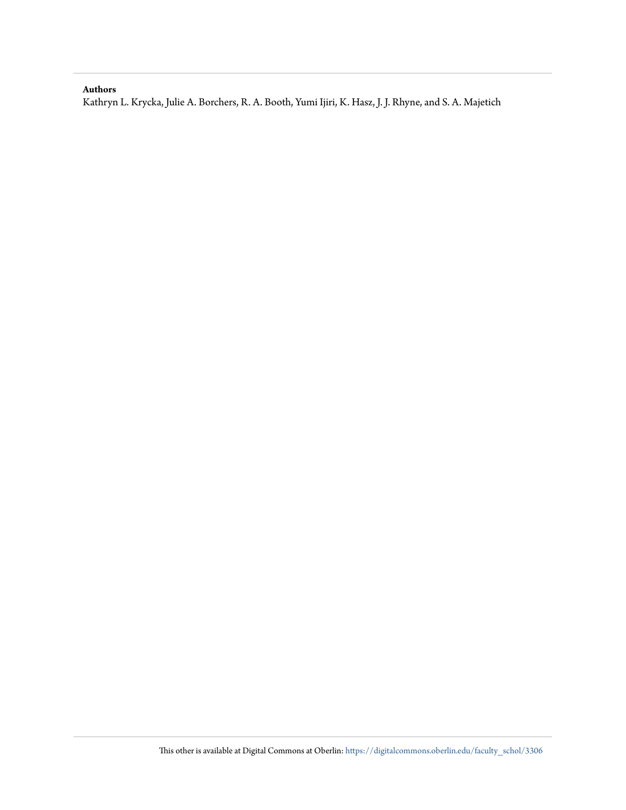## **Authors**

Kathryn L. Krycka, Julie A. Borchers, R. A. Booth, Yumi Ijiri, K. Hasz, J. J. Rhyne, and S. A. Majetich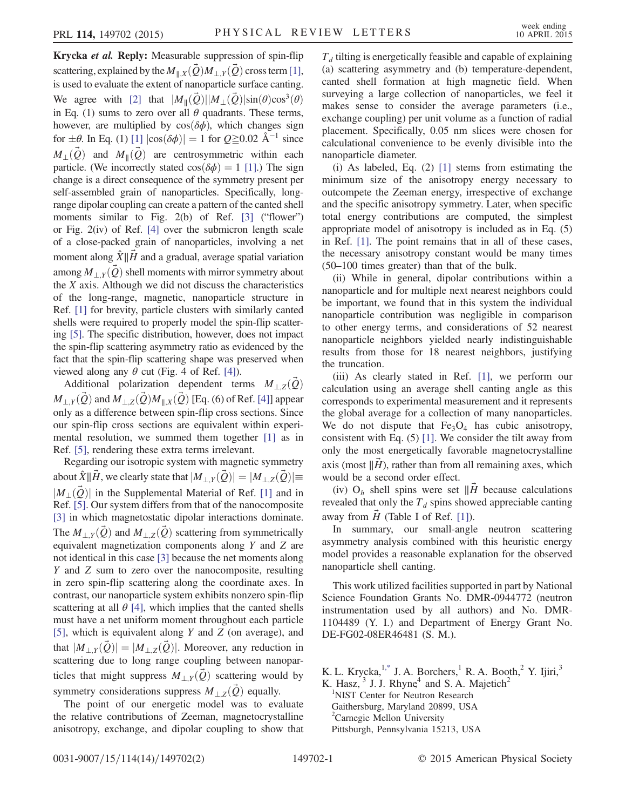Krycka et al. Reply: Measurable suppression of spin-flip scattering, explained by the  $M_{\parallel,X}(\hat{Q})M_{\perp,Y}(\hat{Q})$  cross term [\[1\]](#page-3-0), is used to evaluate the extent of nanoparticle surface canting. We agree with [\[2\]](#page-3-1) that  $|M_{\parallel}(\vec{Q})||M_{\perp}(\vec{Q})|\sin(\theta)\cos^{3}(\theta)$ in Eq. (1) sums to zero over all  $\theta$  quadrants. These terms, however, are multiplied by  $cos(\delta\phi)$ , which changes sign for  $\pm \theta$ . In Eq. (1) [\[1\]](#page-3-0)  $|\cos(\delta \phi)| = 1$  for  $Q \ge 0.02$  Å<sup>-1</sup> since  $M_{\perp}(\vec{Q})$  and  $M_{\parallel}(\vec{Q})$  are centrosymmetric within each particle. (We incorrectly stated  $cos(\delta\phi) = 1$  [\[1\].](#page-3-0)) The sign change is a direct consequence of the symmetry present per self-assembled grain of nanoparticles. Specifically, longrange dipolar coupling can create a pattern of the canted shell moments similar to Fig. 2(b) of Ref. [\[3\]](#page-3-2) ("flower") or Fig. 2(iv) of Ref. [\[4\]](#page-3-3) over the submicron length scale of a close-packed grain of nanoparticles, involving a net moment along  $\hat{X}$ ||H and a gradual, average spatial variation among  $M_{+Y}(\vec{Q})$  shell moments with mirror symmetry about the  $X$  axis. Although we did not discuss the characteristics of the long-range, magnetic, nanoparticle structure in Ref. [\[1\]](#page-3-0) for brevity, particle clusters with similarly canted shells were required to properly model the spin-flip scattering [\[5\].](#page-3-4) The specific distribution, however, does not impact the spin-flip scattering asymmetry ratio as evidenced by the fact that the spin-flip scattering shape was preserved when viewed along any  $\theta$  cut (Fig. 4 of Ref. [\[4\]\)](#page-3-3).

Additional polarization dependent terms  $M_{\perp,Z}(\hat{Q})$  $M_{\perp,\tilde{Y}}(\vec{Q})$  and  $M_{\perp,\tilde{Z}}(\vec{Q})M_{\parallel,X}(\vec{Q})$  [Eq. (6) of Ref. [\[4\]\]](#page-3-3) appear only as a difference between spin-flip cross sections. Since our spin-flip cross sections are equivalent within experimental resolution, we summed them together [\[1\]](#page-3-0) as in Ref. [\[5\],](#page-3-4) rendering these extra terms irrelevant.

Regarding our isotropic system with magnetic symmetry about  $\hat{X} \parallel \vec{H}$ , we clearly state that  $|M_{\perp Y}(\vec{Q})| = |M_{\perp Z}(\vec{Q})|$  $|M_{\perp}(\vec{Q})|$  in the Supplemental Material of Ref. [\[1\]](#page-3-0) and in Ref. [\[5\].](#page-3-4) Our system differs from that of the nanocomposite [\[3\]](#page-3-2) in which magnetostatic dipolar interactions dominate. The  $M_{\perp,Y}(Q)$  and  $M_{\perp,Z}(Q)$  scattering from symmetrically equivalent magnetization components along Y and Z are not identical in this case [\[3\]](#page-3-2) because the net moments along Y and Z sum to zero over the nanocomposite, resulting in zero spin-flip scattering along the coordinate axes. In contrast, our nanoparticle system exhibits nonzero spin-flip scattering at all  $\theta$  [\[4\]](#page-3-3), which implies that the canted shells must have a net uniform moment throughout each particle [\[5\]](#page-3-4), which is equivalent along Y and Z (on average), and that  $|M_{\perp,Y}(\vec{Q})| = |M_{\perp,Z}(\vec{Q})|$ . Moreover, any reduction in scattering due to long range coupling between nanoparticles that might suppress  $M_{\perp Y}(\vec{Q})$  scattering would by symmetry considerations suppress  $M_{\perp,Z}(\vec{Q})$  equally.

The point of our energetic model was to evaluate the relative contributions of Zeeman, magnetocrystalline anisotropy, exchange, and dipolar coupling to show that

 $T<sub>d</sub>$  tilting is energetically feasible and capable of explaining (a) scattering asymmetry and (b) temperature-dependent, canted shell formation at high magnetic field. When surveying a large collection of nanoparticles, we feel it makes sense to consider the average parameters (i.e., exchange coupling) per unit volume as a function of radial placement. Specifically, 0.05 nm slices were chosen for calculational convenience to be evenly divisible into the nanoparticle diameter.

(i) As labeled, Eq. (2) [\[1\]](#page-3-0) stems from estimating the minimum size of the anisotropy energy necessary to outcompete the Zeeman energy, irrespective of exchange and the specific anisotropy symmetry. Later, when specific total energy contributions are computed, the simplest appropriate model of anisotropy is included as in Eq. (5) in Ref. [\[1\]](#page-3-0). The point remains that in all of these cases, the necessary anisotropy constant would be many times (50–100 times greater) than that of the bulk.

(ii) While in general, dipolar contributions within a nanoparticle and for multiple next nearest neighbors could be important, we found that in this system the individual nanoparticle contribution was negligible in comparison to other energy terms, and considerations of 52 nearest nanoparticle neighbors yielded nearly indistinguishable results from those for 18 nearest neighbors, justifying the truncation.

(iii) As clearly stated in Ref. [\[1\],](#page-3-0) we perform our calculation using an average shell canting angle as this corresponds to experimental measurement and it represents the global average for a collection of many nanoparticles. We do not dispute that  $Fe<sub>3</sub>O<sub>4</sub>$  has cubic anisotropy, consistent with Eq. (5) [\[1\].](#page-3-0) We consider the tilt away from only the most energetically favorable magnetocrystalline axis (most  $\Vert \hat{H} \Vert$ , rather than from all remaining axes, which would be a second order effect.

(iv)  $O_h$  shell spins were set  $\parallel \vec{H}$  because calculations revealed that only the  $T_d$  spins showed appreciable canting away from  $H$  (Table I of Ref. [\[1\]\)](#page-3-0).

In summary, our small-angle neutron scattering asymmetry analysis combined with this heuristic energy model provides a reasonable explanation for the observed nanoparticle shell canting.

This work utilized facilities supported in part by National Science Foundation Grants No. DMR-0944772 (neutron instrumentation used by all authors) and No. DMR-1104489 (Y. I.) and Department of Energy Grant No. DE-FG02-08ER46481 (S. M.).

K. L. Krycka, $^{1,*}$  J. A. Borchers,  $^1$  R. A. Booth,  $^2$  Y. Ijiri,  $^3$ K. Hasz,  $3$  J. J. Rhyne<sup>4</sup> and S. A. Majetich<sup>2</sup> 1 NIST Center for Neutron Research Gaithersburg, Maryland 20899, USA <sup>2</sup>Carnegie Mellon University Pittsburgh, Pennsylvania 15213, USA